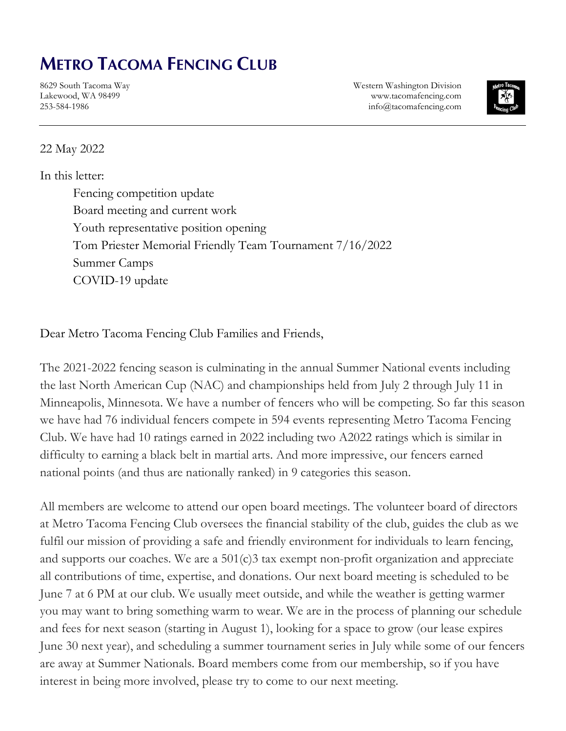## **METRO TACOMA FENCING CLUB**

8629 South Tacoma Way Lakewood, WA 98499 253-584-1986

Western Washington Division www.tacomafencing.com info@tacomafencing.com



## 22 May 2022

## In this letter:

Fencing competition update Board meeting and current work Youth representative position opening Tom Priester Memorial Friendly Team Tournament 7/16/2022 Summer Camps COVID-19 update

Dear Metro Tacoma Fencing Club Families and Friends,

The 2021-2022 fencing season is culminating in the annual Summer National events including the last North American Cup (NAC) and championships held from July 2 through July 11 in Minneapolis, Minnesota. We have a number of fencers who will be competing. So far this season we have had 76 individual fencers compete in 594 events representing Metro Tacoma Fencing Club. We have had 10 ratings earned in 2022 including two A2022 ratings which is similar in difficulty to earning a black belt in martial arts. And more impressive, our fencers earned national points (and thus are nationally ranked) in 9 categories this season.

All members are welcome to attend our open board meetings. The volunteer board of directors at Metro Tacoma Fencing Club oversees the financial stability of the club, guides the club as we fulfil our mission of providing a safe and friendly environment for individuals to learn fencing, and supports our coaches. We are a 501(c)3 tax exempt non-profit organization and appreciate all contributions of time, expertise, and donations. Our next board meeting is scheduled to be June 7 at 6 PM at our club. We usually meet outside, and while the weather is getting warmer you may want to bring something warm to wear. We are in the process of planning our schedule and fees for next season (starting in August 1), looking for a space to grow (our lease expires June 30 next year), and scheduling a summer tournament series in July while some of our fencers are away at Summer Nationals. Board members come from our membership, so if you have interest in being more involved, please try to come to our next meeting.